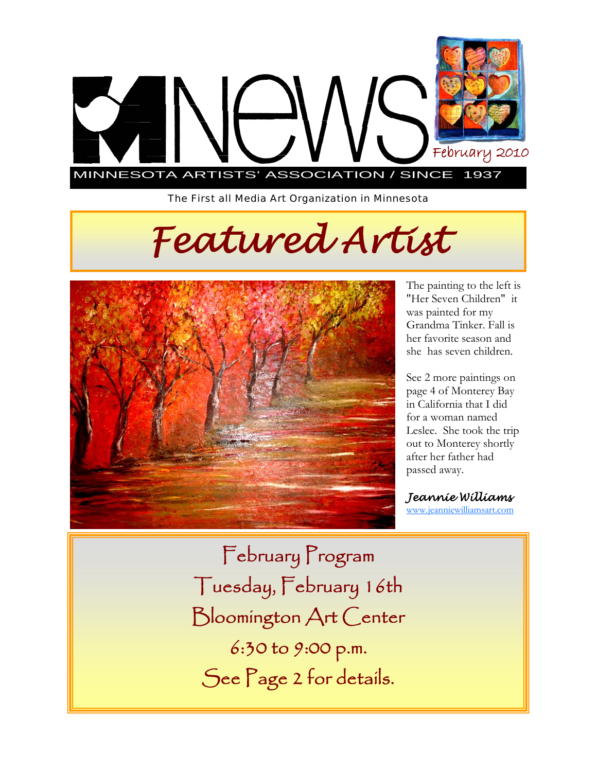

*The First all Media Art Organization in Minnesota* 

# *Featured Artist*



The painting to the left is "Her Seven Children" it was painted for my Grandma Tinker. Fall is her favorite season and she has seven children.

See 2 more paintings on page 4 of Monterey Bay in California that I did for a woman named Leslee. She took the trip out to Monterey shortly after her father had passed away.

*Jeannie Williams* www.jeanniewilliamsart.com

February Program Tuesday, February 16th Bloomington Art Center 6:30 to 9:00 p.m. See Page 2 for details.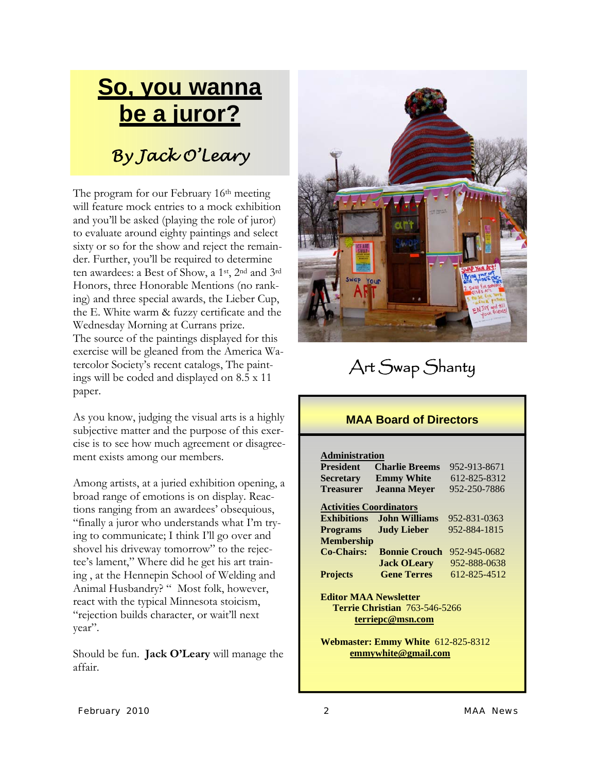# **So, you wanna be a juror?** *By Jack O'Leary*

The program for our February 16<sup>th</sup> meeting will feature mock entries to a mock exhibition and you'll be asked (playing the role of juror) to evaluate around eighty paintings and select sixty or so for the show and reject the remainder. Further, you'll be required to determine ten awardees: a Best of Show, a 1st, 2nd and 3rd Honors, three Honorable Mentions (no ranking) and three special awards, the Lieber Cup, the E. White warm & fuzzy certificate and the Wednesday Morning at Currans prize. The source of the paintings displayed for this exercise will be gleaned from the America Watercolor Society's recent catalogs, The paintings will be coded and displayed on 8.5 x 11 paper.

As you know, judging the visual arts is a highly subjective matter and the purpose of this exercise is to see how much agreement or disagreement exists among our members.

Among artists, at a juried exhibition opening, a broad range of emotions is on display. Reactions ranging from an awardees' obsequious, "finally a juror who understands what I'm trying to communicate; I think I'll go over and shovel his driveway tomorrow" to the rejectee's lament," Where did he get his art training , at the Hennepin School of Welding and Animal Husbandry? " Most folk, however, react with the typical Minnesota stoicism, "rejection builds character, or wait'll next year".

Should be fun. **Jack O'Leary** will manage the affair.



### Art Swap Shanty

#### **MAA Board of Directors**

#### **Administration**

| <b>President</b>                          | <b>Charlie Breems</b> | 952-913-8671 |
|-------------------------------------------|-----------------------|--------------|
| <b>Secretary</b>                          | <b>Emmy White</b>     | 612-825-8312 |
| <b>Treasurer</b>                          | <b>Jeanna Meyer</b>   | 952-250-7886 |
| <b>Activities Coordinators</b>            |                       |              |
| <b>Exhibitions</b>                        | John Williams         | 952-831-0363 |
| <b>Programs</b>                           | <b>Judy Lieber</b>    | 952-884-1815 |
| <b>Membership</b>                         |                       |              |
| Co-Chairs:                                | <b>Bonnie Crouch</b>  | 952-945-0682 |
|                                           | <b>Jack OLeary</b>    | 952-888-0638 |
| <b>Projects</b>                           | <b>Gene Terres</b>    | 612-825-4512 |
| <b>Editor MAA Newsletter</b>              |                       |              |
| <b>Terrie Christian 763-546-5266</b>      |                       |              |
| terriepc@msn.com                          |                       |              |
| <b>Webmaster: Emmy White 612-825-8312</b> |                       |              |

 **emmywhite@gmail.com**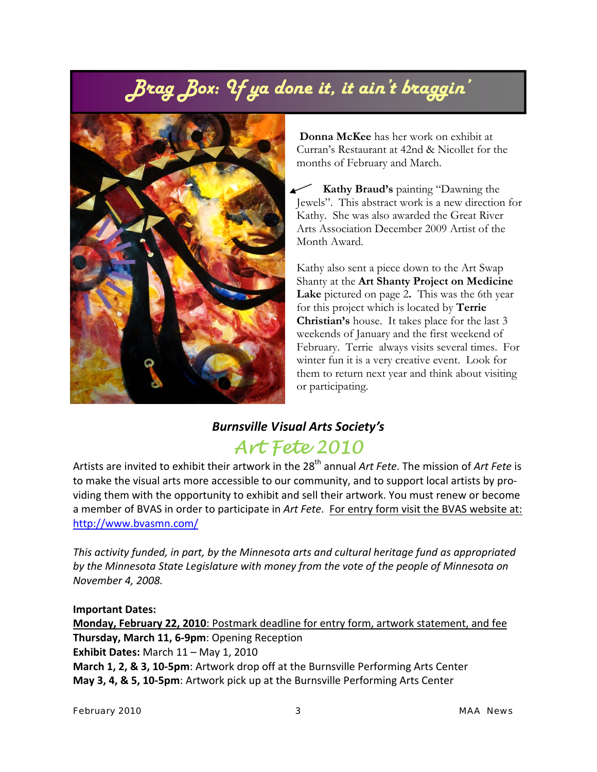## *Brag Box: If ya done it, it ain't braggin'*



 **Donna McKee** has her work on exhibit at Curran's Restaurant at 42nd & Nicollet for the months of February and March.

 **Kathy Braud's** painting "Dawning the Jewels". This abstract work is a new direction for Kathy. She was also awarded the Great River Arts Association December 2009 Artist of the Month Award.

Kathy also sent a piece down to the Art Swap Shanty at the **Art Shanty Project on Medicine Lake** pictured on page 2**.** This was the 6th year for this project which is located by **Terrie Christian's** house. It takes place for the last 3 weekends of January and the first weekend of February. Terrie always visits several times. For winter fun it is a very creative event. Look for them to return next year and think about visiting or participating.

#### *Burnsville Visual Arts Society's Art Fete 2010*

Artists are invited to exhibit their artwork in the 28<sup>th</sup> annual Art Fete. The mission of Art Fete is to make the visual arts more accessible to our community, and to support local artists by pro‐ viding them with the opportunity to exhibit and sell their artwork. You must renew or become a member of BVAS in order to participate in *Art Fete*. For entry form visit the BVAS website at: http://www.bvasmn.com/

*This activity funded, in part, by the Minnesota arts and cultural heritage fund as appropriated by the Minnesota State Legislature with money from the vote of the people of Minnesota on November 4, 2008.*

**Important Dates: Monday, February 22, 2010**: Postmark deadline for entry form, artwork statement, and fee **Thursday, March 11, 6‐9pm**: Opening Reception **Exhibit Dates:** March 11 – May 1, 2010 **March 1, 2, & 3, 10‐5pm**: Artwork drop off at the Burnsville Performing Arts Center **May 3, 4, & 5, 10‐5pm**: Artwork pick up at the Burnsville Performing Arts Center